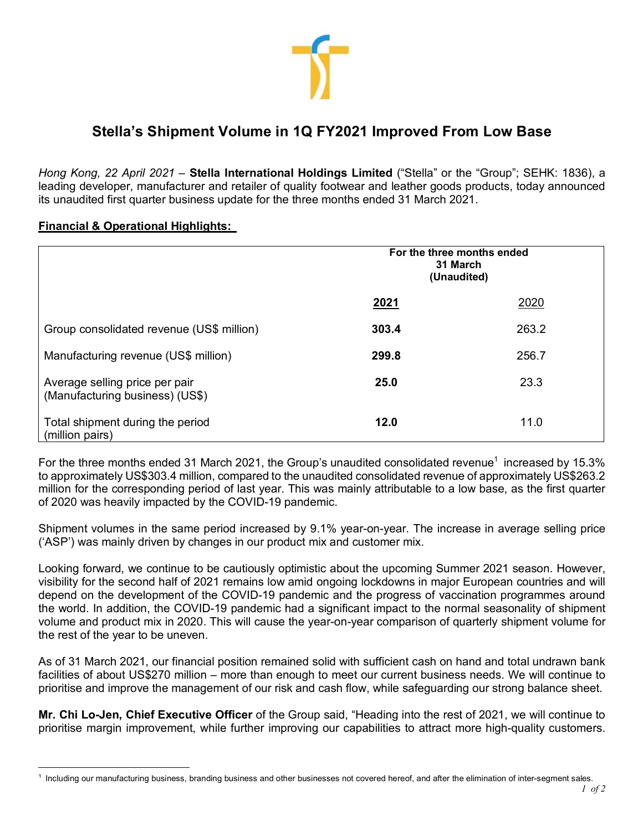

## **Stella's Shipment Volume in 1Q FY2021 Improved From Low Base**

*Hong Kong, 22 April 2021* – **Stella International Holdings Limited** ("Stella" or the "Group"; SEHK: 1836), a leading developer, manufacturer and retailer of quality footwear and leather goods products, today announced its unaudited first quarter business update for the three months ended 31 March 2021.

## **Financial & Operational Highlights:**

<u>.</u>

|                                                                   | For the three months ended<br>31 March<br>(Unaudited) |       |
|-------------------------------------------------------------------|-------------------------------------------------------|-------|
|                                                                   | 2021                                                  | 2020  |
| Group consolidated revenue (US\$ million)                         | 303.4                                                 | 263.2 |
| Manufacturing revenue (US\$ million)                              | 299.8                                                 | 256.7 |
| Average selling price per pair<br>(Manufacturing business) (US\$) | 25.0                                                  | 23.3  |
| Total shipment during the period<br>(million pairs)               | 12.0                                                  | 11.0  |

For the three months ended 31 March 2021, the Group's unaudited consolidated revenue<sup>1</sup> increased by 15.3% to approximately US\$303.4 million, compared to the unaudited consolidated revenue of approximately US\$263.2 million for the corresponding period of last year. This was mainly attributable to a low base, as the first quarter of 2020 was heavily impacted by the COVID-19 pandemic.

Shipment volumes in the same period increased by 9.1% year-on-year. The increase in average selling price ('ASP') was mainly driven by changes in our product mix and customer mix.

Looking forward, we continue to be cautiously optimistic about the upcoming Summer 2021 season. However, visibility for the second half of 2021 remains low amid ongoing lockdowns in major European countries and will depend on the development of the COVID-19 pandemic and the progress of vaccination programmes around the world. In addition, the COVID-19 pandemic had a significant impact to the normal seasonality of shipment volume and product mix in 2020. This will cause the year-on-year comparison of quarterly shipment volume for the rest of the year to be uneven.

As of 31 March 2021, our financial position remained solid with sufficient cash on hand and total undrawn bank facilities of about US\$270 million – more than enough to meet our current business needs. We will continue to prioritise and improve the management of our risk and cash flow, while safeguarding our strong balance sheet.

**Mr. Chi Lo-Jen, Chief Executive Officer** of the Group said, "Heading into the rest of 2021, we will continue to prioritise margin improvement, while further improving our capabilities to attract more high-quality customers.

 $<sup>1</sup>$  Including our manufacturing business, branding business and other businesses not covered hereof, and after the elimination of inter-segment sales.</sup>